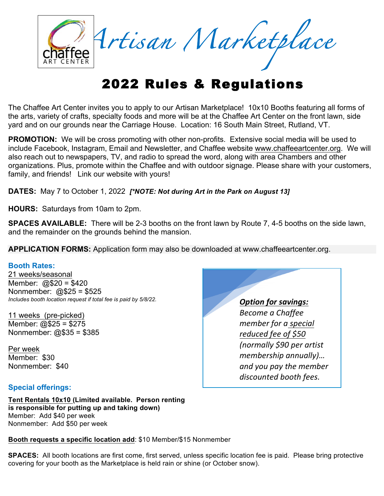

# 2022 Rules & Regulations

The Chaffee Art Center invites you to apply to our Artisan Marketplace! 10x10 Booths featuring all forms of the arts, variety of crafts, specialty foods and more will be at the Chaffee Art Center on the front lawn, side yard and on our grounds near the Carriage House. Location: 16 South Main Street, Rutland, VT.

**PROMOTION:** We will be cross promoting with other non-profits. Extensive social media will be used to include Facebook, Instagram, Email and Newsletter, and Chaffee website www.chaffeeartcenter.org. We will also reach out to newspapers, TV, and radio to spread the word, along with area Chambers and other organizations. Plus, promote within the Chaffee and with outdoor signage. Please share with your customers, family, and friends! Link our website with yours!

**DATES:** May 7 to October 1, 2022 *[\*NOTE: Not during Art in the Park on August 13]*

**HOURS:** Saturdays from 10am to 2pm.

**SPACES AVAILABLE:** There will be 2-3 booths on the front lawn by Route 7, 4-5 booths on the side lawn, and the remainder on the grounds behind the mansion.

**APPLICATION FORMS:** Application form may also be downloaded at www.chaffeeartcenter.org.

### **Booth Rates:**

21 weeks/seasonal Member: @\$20 = \$420 Nonmember: @\$25 = \$525 *Includes booth location request if total fee is paid by 5/8/22.* 

11 weeks (pre-picked) Member: @\$25 = \$275 Nonmember: @\$35 = \$385

Per week Member: \$30 Nonmember: \$40

## **Special offerings:**

**Tent Rentals 10x10 (Limited available. Person renting is responsible for putting up and taking down)** Member: Add \$40 per week Nonmember: Add \$50 per week

**Booth requests a specific location add**: \$10 Member/\$15 Nonmember

**SPACES:** All booth locations are first come, first served, unless specific location fee is paid. Please bring protective covering for your booth as the Marketplace is held rain or shine (or October snow).

**Option for savings:** *Become a Chaffee member* for a special *reduced fee of \$50 (normally \$90 per artist membership annually)… and you pay the member discounted booth fees.*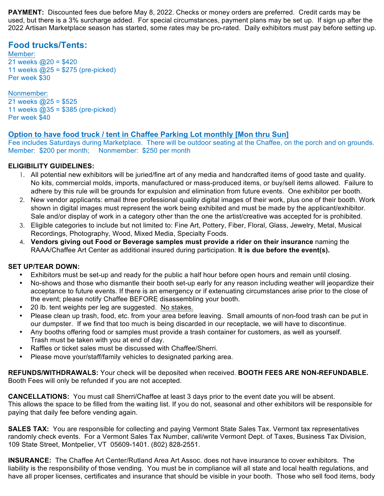**PAYMENT:** Discounted fees due before May 8, 2022. Checks or money orders are preferred. Credit cards may be used, but there is a 3% surcharge added. For special circumstances, payment plans may be set up. If sign up after the 2022 Artisan Marketplace season has started, some rates may be pro-rated. Daily exhibitors must pay before setting up.

## **Food trucks/Tents:**

Member: 21 weeks  $@20 = $420$ 11 weeks @25 = \$275 (pre-picked) Per week \$30

Nonmember: 21 weeks  $@25 = $525$ 11 weeks  $@35 = $385$  (pre-picked) Per week \$40

## **Option to have food truck / tent in Chaffee Parking Lot monthly [Mon thru Sun]**

Fee includes Saturdays during Marketplace. There will be outdoor seating at the Chaffee, on the porch and on grounds. Member: \$200 per month; Nonmember: \$250 per month

## **ELIGIBILITY GUIDELINES:**

- 1. All potential new exhibitors will be juried/fine art of any media and handcrafted items of good taste and quality. No kits, commercial molds, imports, manufactured or mass-produced items, or buy/sell items allowed. Failure to adhere by this rule will be grounds for expulsion and elimination from future events. One exhibitor per booth.
- 2. New vendor applicants: email three professional quality digital images of their work, plus one of their booth. Work shown in digital images must represent the work being exhibited and must be made by the applicant/exhibitor. Sale and/or display of work in a category other than the one the artist/creative was accepted for is prohibited.
- 3. Eligible categories to include but not limited to: Fine Art, Pottery, Fiber, Floral, Glass, Jewelry, Metal, Musical Recordings, Photography, Wood, Mixed Media, Specialty Foods.
- 4. **Vendors giving out Food or Beverage samples must provide a rider on their insurance** naming the RAAA/Chaffee Art Center as additional insured during participation. **It is due before the event(s).**

### **SET UP/TEAR DOWN:**

- Exhibitors must be set-up and ready for the public a half hour before open hours and remain until closing.
- No-shows and those who dismantle their booth set-up early for any reason including weather will jeopardize their acceptance to future events. If there is an emergency or if extenuating circumstances arise prior to the close of the event; please notify Chaffee BEFORE disassembling your booth.
- 20 lb. tent weights per leg are suggested. No stakes.
- Please clean up trash, food, etc. from your area before leaving. Small amounts of non-food trash can be put in our dumpster. If we find that too much is being discarded in our receptacle, we will have to discontinue.
- Any booths offering food or samples must provide a trash container for customers, as well as yourself. Trash must be taken with you at end of day.
- Raffles or ticket sales must be discussed with Chaffee/Sherri.
- Please move your/staff/family vehicles to designated parking area.

**REFUNDS/WITHDRAWALS:** Your check will be deposited when received. **BOOTH FEES ARE NON-REFUNDABLE.** Booth Fees will only be refunded if you are not accepted.

**CANCELLATIONS:** You must call Sherri/Chaffee at least 3 days prior to the event date you will be absent. This allows the space to be filled from the waiting list. If you do not, seasonal and other exhibitors will be responsible for paying that daily fee before vending again.

**SALES TAX:** You are responsible for collecting and paying Vermont State Sales Tax. Vermont tax representatives randomly check events. For a Vermont Sales Tax Number, call/write Vermont Dept. of Taxes, Business Tax Division, 109 State Street, Montpelier, VT 05609-1401. (802) 828-2551.

**INSURANCE:** The Chaffee Art Center/Rutland Area Art Assoc. does not have insurance to cover exhibitors. The liability is the responsibility of those vending. You must be in compliance will all state and local health regulations, and have all proper licenses, certificates and insurance that should be visible in your booth. Those who sell food items, body